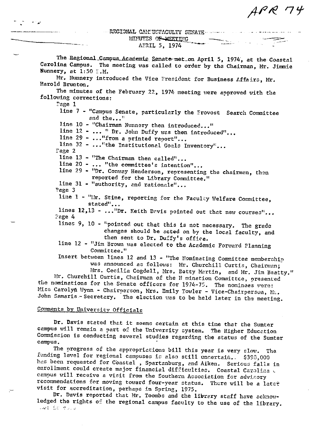APR 74

!tTI:G-IJNAL C}J,J:U~FL',CULTY SENATE·

**HINUTES OF MEETING**<br>APRIL 5, 1974

The Regional Campus Acacemic Senate-met\_on April 5, 1974, at the Coastal Carolina Campus. The meeting was called to order by the Chairman, Mr. Jimmie Nunnery, at  $1:50$   $\ldots$   $M$ . Mr. Nunnery introduced the Vice President for Business Affairs, Mr. Harold Brunton. The minutes of the February 22, 1974 meeting were approved with the following corrections: I'age 1 line 7 - "Campus Senate, particularly the Frovost Search Committee **and the .•. ;:**  line  $10$  - "Chairman Nunnery then introduced..." line 12 - ... " Dr. John Duffy was then introduced"... line 29 -  $\ldots$  "from a printed report"... line 32 - ... "the Institutional Goals Inventory"... rage 2 line  $13$  - "The Chairman then called"... line 20 - ... "the committee's intention"... line 29 - "Dr. Conway Henderson, representing the chairman, then reported for the Library Committee." line 31 - "authority, and rationale"... "age 3 line 1 - "In. Stine, reporting for the Faculty Welfare Committee, stated"... lines  $12,13$  - ... "Dr. Keith Davis pointed out that new courses"... **:?age 4**  lines 9, 10 - "pointed out that this is not necessary. The grade changes should be acted on by the local faculty, and then sent to Dr. Duffy's office. line 12 - "Jim Brown was elected to the Academic Forward Planning **C01mnittee."**  Insert between lines 12 and 13 - "The Nominating Committee memberchip **wets announced aa follows: Mr. Churchill Curtis, Chairman;**  Mrs. Cecilia Cogdell, Mrs. Betty Martin, and Mr. Jim Beatty." Hr. Churchill Curtis, Cheirman of the N mination Committee, presented **the nominations for the Senate officers for 1974-75. The nominees vere:** Miss Carolyn Wynn - Chairperson, Mrs. Emily Towler - Vice-Chairperson, Mz. John Samaris - Secretary. The election was to be held later in the meeting.

# Comments by University Officials

Dr. Davis steted that it seems certain at this time thar the Sumter cempus will remain a part of the University system. The Higher Education Commiscion is conducting several studies regarding the status of the Sumter campus.

The progress of the appropriations bill this year is very slow. The **£-anding level for regional campusen ir: e.lsa still un~ertait,... \$390:,000**  has been requested for Coastal, Spartanburg, and Aiken. Sericus falls in enrollment could create major financial difficulties. Coastal Carolina **campus will receive a vicit from the Southern Aosociation fvr advLsory**  recommendations for moving toward four-year status. There will be a later visit for accreditation, perhaps in Spring, 1975.

Dr. Davis reported that Mr. Toombs and the library staff have acknowledged the rights of the regional campus faculty to the use of the library. . *,";.:* t

العراز المرار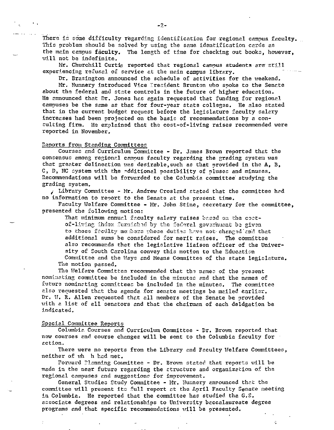There is some difficulty regarding identification for regional campus faculty. This problem should be solved by using the same identification cards as the main campus faculty. The length of time for checking out books, however, will not be indefinite.

Mr. Churchill Curtis reported that regional campus students are still experiencing refusel of service at the main campus library.

Dr. Brasington announced the schedule of activities for the weekend. Mr. Nunnery introduced Vice Tresident Brunton who spoke to the Senate about the federal and state controls in the future of higher education. He announced that Dr. Jones has again requested that funding for regional campuses be the same as that for four-year state colleges. He also stated that in the current budget request before the legislature faculty salary increases had been projected on the basis of recommendations by a conculting firm. He explained that the cost-of-living raises recommended were reported in November.

### Reports from Standing Committees

Courses and Curriculum Committee - Dr. James Brown reported that the consensus among regional campus faculty regarding the grading system was that greater delineation was desirable, such as that provided in the  $A$ ,  $B$ , C, D, NC cystem with the additional possibility of pluses and minuses. Recommendations will be forwarded to the Columbia committee studying the grading system.

, Library Committee - Mr. Andrew Crosland stated that the committee had no information to report to the Senate at the present time.

Faculty Welfare Committee - Mr. John Stine, secretary for the committee, presented the following motion:

That minimum annual faculty salary raises based on the costof-living index furnished by the federal government be given to those faculty members whose duties have not changed and that additional sums be considered for merit raises. The committee also recommends that the legislative liaison officer of the University of South Carolina convey this motion to the Education Committee and the Ways and Means Committee of the state legislature. The motion passed.

The Welfare Committee recommended that the names of the present nominating committee be included in the minutes and that the names of future nominating committees be included in the minutes. The committee also requested that the agenda for senate meetings be mailed earlier. Dr. W. R. Allen requested that all members of the Senate be provided with a list of all senators and that the chairman of each deldgation be indicated.

# Special Committee Reports

Columbia Courses and Curriculum Committee - Dr. Brown reported that new courses and course changes will be sent to the Columbia faculty for action.

There were no reports from the Library and Faculty Welfare Committees, neither of wh h had met.

Forward Planning Committee - Dr. Brown stated that reports will be made in the near future regarding the structure and organization of the regional campuses and suggestions for improvement.

General Studies Study Committee - Mr. Wunnery announced that the committee will present its full report at the April Faculty Senate meeting in Columbia. He reported that the committee has studied tha G.S. associate degrees and relationships to University baccalaureate degree programs and that specific recommendations will be presented.

 $\frac{1}{2}$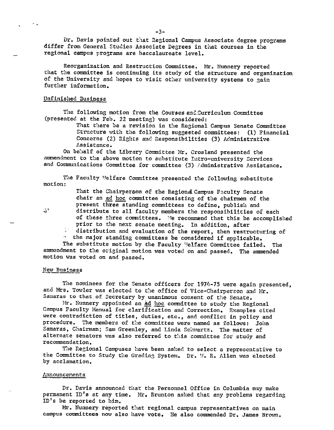Dr. Davis pointed out that Regional Campus Associate degree programs differ from General Studies Associate Degrees in that courses in the regional campus programs are baccalaureate level.

Reorganization and Restruction Committee. Mr. Nunnery reported that the committee is continuing its study of the structure and organization of the University and hopes to visit other university systems to gain further information.

#### Unfinished Business

The following motion from the Courses and Curriculum Committee (presented at the Feb. 22 meeting) was considered:

> That there be a revision in the Regional Campus Senate Committee Structure with the following suggested committees: (1) Financial Concerns (2) Rights and Responsibilities (3) Administrative **Assistance.**

On be'1alf of the Library Committee Mr, Crosland presented the ammendment to the above motion to substitute Intro-university Services and Communications Committee for committee (3) Administrative Assistance.

The Faculty Welfare Committee presented the following substitute motion:

> That the Chairperson of the Regional Campus Faculty Senate chair an ad hoc committee consisting of the chairmen of the present three standing committees to define, publish and

 $\mathbf{A}$ .

distribute to all faculty members the responsibilities of each of these three committees. We recommend that this be accomplished prior to the next senate meeting. In addition, after

distribution and evaluation of the report, then restructuring of the major standing committess be considered if applicable.

The substitute motion by the Faculty Welfare Committee failed. The ammendment to the original motion was voted on and passed. The ammended motion was voted on and passed,

## New Business

The nominees for the Senate officers for 1974-75 were again presented, and Mrs. Towler was elected to the office of Vice-Chairperson and Mr. Samaras to that of Secretary by unanimous consent of the Senate.

Mr. Nunnery appointed an *ad hoc* committee to study the Regional Campus Faculty Manual for clarification and Correction. Examples cited were contradiction of titles, duties, etc,, and conflict in policy and procedure. The members of the committee were named as follows: John Samaras, Chairman; Sam Greenley, and Linda Schwartz. The matter of alternate senators was also referred to this committee for study and recommendation.

The Regional Campuses have been asked to select a representative to the Committee to Study the Grading System. Dr. W. R. Allen was elected by acclamation,

### Announcements

Dr. Davis announced that the Personnel Office in Columbia may make permanent ID's at any time, Mr, Brunton asked that any problems regarding ID's be reported to him.

Mr. Nunnery reported that regional campus representatives on main campus committees now also have vote. He also commended Dr. James Brown.